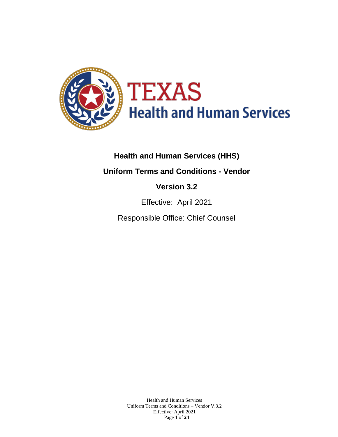

# **Health and Human Services (HHS)**

**Uniform Terms and Conditions - Vendor**

# **Version 3.2**

Effective: April 2021

Responsible Office: Chief Counsel

Health and Human Services Uniform Terms and Conditions – Vendor V.3.2 Effective: April 2021 Page **1** of **24**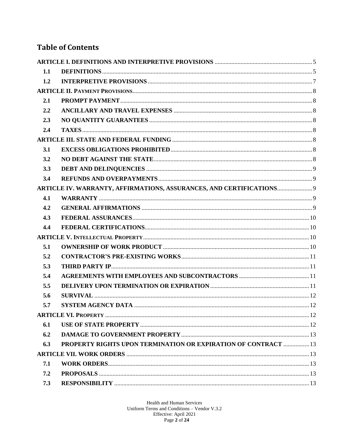# **Table of Contents**

| 1.1 |                                                                    |  |
|-----|--------------------------------------------------------------------|--|
| 1.2 |                                                                    |  |
|     |                                                                    |  |
| 2.1 |                                                                    |  |
| 2.2 |                                                                    |  |
| 2.3 |                                                                    |  |
| 2.4 |                                                                    |  |
|     |                                                                    |  |
| 3.1 |                                                                    |  |
| 3.2 |                                                                    |  |
| 3.3 |                                                                    |  |
| 3.4 |                                                                    |  |
|     | ARTICLE IV. WARRANTY, AFFIRMATIONS, ASSURANCES, AND CERTIFICATIONS |  |
| 4.1 |                                                                    |  |
| 4.2 |                                                                    |  |
| 4.3 |                                                                    |  |
| 4.4 |                                                                    |  |
|     |                                                                    |  |
| 5.1 |                                                                    |  |
| 5.2 |                                                                    |  |
| 5.3 |                                                                    |  |
| 5.4 |                                                                    |  |
| 5.5 |                                                                    |  |
| 5.6 |                                                                    |  |
| 5.7 |                                                                    |  |
|     |                                                                    |  |
| 6.1 |                                                                    |  |
| 6.2 |                                                                    |  |
| 6.3 | PROPERTY RIGHTS UPON TERMINATION OR EXPIRATION OF CONTRACT  13     |  |
|     |                                                                    |  |
| 7.1 |                                                                    |  |
| 7.2 |                                                                    |  |
| 7.3 |                                                                    |  |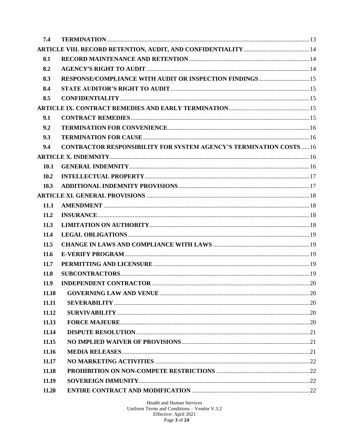| 7.4   |                                                                            |  |
|-------|----------------------------------------------------------------------------|--|
|       |                                                                            |  |
| 8.1   |                                                                            |  |
| 8.2   |                                                                            |  |
| 8.3   |                                                                            |  |
| 8.4   |                                                                            |  |
| 8.5   |                                                                            |  |
|       |                                                                            |  |
| 9.1   |                                                                            |  |
| 9.2   |                                                                            |  |
| 9.3   |                                                                            |  |
| 9.4   | <b>CONTRACTOR RESPONSIBILITY FOR SYSTEM AGENCY'S TERMINATION COSTS  16</b> |  |
|       |                                                                            |  |
| 10.1  |                                                                            |  |
| 10.2  |                                                                            |  |
| 10.3  |                                                                            |  |
|       |                                                                            |  |
| 11.1  |                                                                            |  |
| 11.2  |                                                                            |  |
| 11.3  |                                                                            |  |
| 11.4  |                                                                            |  |
| 11.5  |                                                                            |  |
| 11.6  |                                                                            |  |
| 11.7  |                                                                            |  |
| 11.8  |                                                                            |  |
| 11.9  |                                                                            |  |
| 11.10 |                                                                            |  |
| 11.11 |                                                                            |  |
| 11.12 |                                                                            |  |
| 11.13 |                                                                            |  |
| 11.14 |                                                                            |  |
| 11.15 |                                                                            |  |
| 11.16 |                                                                            |  |
| 11.17 |                                                                            |  |
| 11.18 |                                                                            |  |
| 11.19 |                                                                            |  |
| 11.20 |                                                                            |  |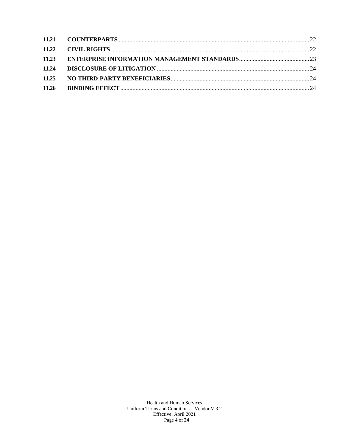| 11.24 |  |
|-------|--|
| 11.25 |  |
|       |  |

Health and Human Services Uniform Terms and Conditions - Vendor V.3.2<br>Effective: April 2021<br>Page 4 of 24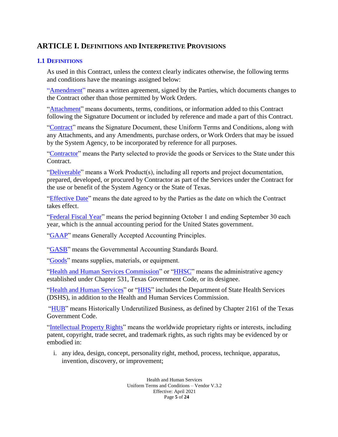# <span id="page-4-0"></span>**ARTICLE I. DEFINITIONS AND INTERPRETIVE PROVISIONS**

### <span id="page-4-1"></span>**1.1 DEFINITIONS**

As used in this Contract, unless the context clearly indicates otherwise, the following terms and conditions have the meanings assigned below:

"**Amendment**" means a written agreement, signed by the Parties, which documents changes to the Contract other than those permitted by Work Orders.

"Attachment" means documents, terms, conditions, or information added to this Contract following the Signature Document or included by reference and made a part of this Contract.

"Contract" means the Signature Document, these Uniform Terms and Conditions, along with any Attachments, and any Amendments, purchase orders, or Work Orders that may be issued by the System Agency, to be incorporated by reference for all purposes.

"Contractor" means the Party selected to provide the goods or Services to the State under this Contract.

"Deliverable" means a Work Product(s), including all reports and project documentation, prepared, developed, or procured by Contractor as part of the Services under the Contract for the use or benefit of the System Agency or the State of Texas.

"Effective Date" means the date agreed to by the Parties as the date on which the Contract takes effect.

"Federal Fiscal Year" means the period beginning October 1 and ending September 30 each year, which is the annual accounting period for the United States government.

"GAAP" means Generally Accepted Accounting Principles.

"GASB" means the Governmental Accounting Standards Board.

"Goods" means supplies, materials, or equipment.

"Health and Human Services Commission" or "HHSC" means the administrative agency established under Chapter 531, Texas Government Code, or its designee.

"Health and Human Services" or "HHS" includes the Department of State Health Services (DSHS), in addition to the Health and Human Services Commission.

"HUB" means Historically Underutilized Business, as defined by Chapter 2161 of the Texas Government Code.

"Intellectual Property Rights" means the worldwide proprietary rights or interests, including patent, copyright, trade secret, and trademark rights, as such rights may be evidenced by or embodied in:

i. any idea, design, concept, personality right, method, process, technique, apparatus, invention, discovery, or improvement;

> Health and Human Services Uniform Terms and Conditions – Vendor V.3.2 Effective: April 2021 Page **5** of **24**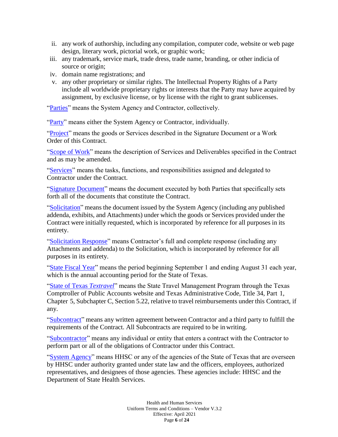- ii. any work of authorship, including any compilation, computer code, website or web page design, literary work, pictorial work, or graphic work;
- iii. any trademark, service mark, trade dress, trade name, branding, or other indicia of source or origin;
- iv. domain name registrations; and
- v. any other proprietary or similar rights. The Intellectual Property Rights of a Party include all worldwide proprietary rights or interests that the Party may have acquired by assignment, by exclusive license, or by license with the right to grant sublicenses.

"Parties" means the System Agency and Contractor, collectively.

"Party" means either the System Agency or Contractor, individually.

"Project" means the goods or Services described in the Signature Document or a Work Order of this Contract.

"Scope of Work" means the description of Services and Deliverables specified in the Contract and as may be amended.

"Services" means the tasks, functions, and responsibilities assigned and delegated to Contractor under the Contract.

"Signature Document" means the document executed by both Parties that specifically sets forth all of the documents that constitute the Contract.

"Solicitation" means the document issued by the System Agency (including any published addenda, exhibits, and Attachments) under which the goods or Services provided under the Contract were initially requested, which is incorporated by reference for all purposes in its entirety.

"Solicitation Response" means Contractor's full and complete response (including any Attachments and addenda) to the Solicitation, which is incorporated by reference for all purposes in its entirety.

"State Fiscal Year" means the period beginning September 1 and ending August 31 each year, which is the annual accounting period for the State of Texas.

"State of Texas *Textravel*" means the State Travel Management Program through the Texas Comptroller of Public Accounts website and Texas Administrative Code, Title 34, Part 1, Chapter 5, Subchapter C, Section 5.22, relative to travel reimbursements under this Contract, if any.

"Subcontract" means any written agreement between Contractor and a third party to fulfill the requirements of the Contract. All Subcontracts are required to be inwriting.

"Subcontractor" means any individual or entity that enters a contract with the Contractor to perform part or all of the obligations of Contractor under this Contract.

"System Agency" means HHSC or any of the agencies of the State of Texas that are overseen by HHSC under authority granted under state law and the officers, employees, authorized representatives, and designees of those agencies. These agencies include: HHSC and the Department of State Health Services.

> Health and Human Services Uniform Terms and Conditions – Vendor V.3.2 Effective: April 2021 Page **6** of **24**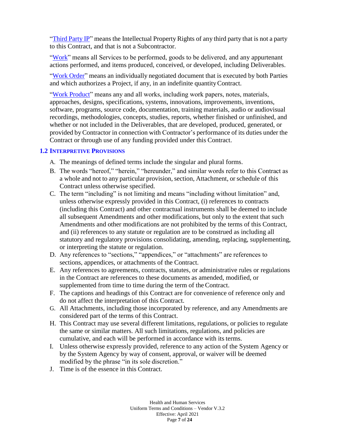"Third Party IP" means the Intellectual Property Rights of any third party that is not a party to this Contract, and that is not a Subcontractor.

"Work" means all Services to be performed, goods to be delivered, and any appurtenant actions performed, and items produced, conceived, or developed, including Deliverables.

"Work Order" means an individually negotiated document that is executed by both Parties and which authorizes a Project, if any, in an indefinite quantityContract.

"Work Product" means any and all works, including work papers, notes, materials, approaches, designs, specifications, systems, innovations, improvements, inventions, software, programs, source code, documentation, training materials, audio or audiovisual recordings, methodologies, concepts, studies, reports, whether finished or unfinished, and whether or not included in the Deliverables, that are developed, produced, generated, or provided byContractor in connection with Contractor's performance of its duties under the Contract or through use of any funding provided under this Contract.

### <span id="page-6-0"></span>**1.2 INTERPRETIVE PROVISIONS**

- A. The meanings of defined terms include the singular and plural forms.
- B. The words "hereof," "herein," "hereunder," and similar words refer to this Contract as a whole and not to any particular provision, section, Attachment, or schedule of this Contract unless otherwise specified.
- C. The term "including" is not limiting and means "including without limitation" and, unless otherwise expressly provided in this Contract, (i) references to contracts (including this Contract) and other contractual instruments shall be deemed to include all subsequent Amendments and other modifications, but only to the extent that such Amendments and other modifications are not prohibited by the terms of this Contract, and (ii) references to any statute or regulation are to be construed as including all statutory and regulatory provisions consolidating, amending, replacing, supplementing, or interpreting the statute or regulation.
- D. Any references to "sections," "appendices," or "attachments" are references to sections, appendices, or attachments of the Contract.
- E. Any references to agreements, contracts, statutes, or administrative rules or regulations in the Contract are references to these documents as amended, modified, or supplemented from time to time during the term of the Contract.
- F. The captions and headings of this Contract are for convenience of reference only and do not affect the interpretation of this Contract.
- G. All Attachments, including those incorporated by reference, and any Amendments are considered part of the terms of this Contract.
- H. This Contract may use several different limitations, regulations, or policies to regulate the same or similar matters. All such limitations, regulations, and policies are cumulative, and each will be performed in accordance with its terms.
- I. Unless otherwise expressly provided, reference to any action of the System Agency or by the System Agency by way of consent, approval, or waiver will be deemed modified by the phrase "in its sole discretion."
- J. Time is of the essence in this Contract.

Health and Human Services Uniform Terms and Conditions – Vendor V.3.2 Effective: April 2021 Page **7** of **24**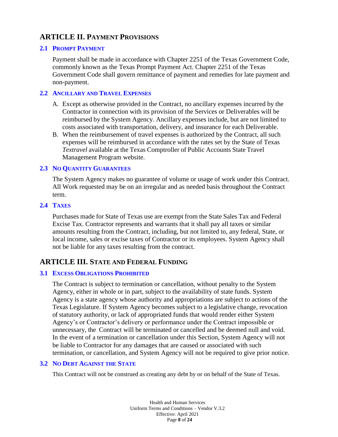# <span id="page-7-0"></span>**ARTICLE II. PAYMENT PROVISIONS**

### <span id="page-7-1"></span>**2.1 PROMPT PAYMENT**

Payment shall be made in accordance with Chapter 2251 of the Texas Government Code, commonly known as the Texas Prompt Payment Act. Chapter 2251 of the Texas Government Code shall govern remittance of payment and remedies for late payment and non-payment.

### <span id="page-7-2"></span>**2.2 ANCILLARY AND TRAVEL EXPENSES**

- A. Except as otherwise provided in the Contract, no ancillary expenses incurred by the Contractor in connection with its provision of the Services or Deliverables will be reimbursed by the System Agency. Ancillary expenses include, but are not limited to costs associated with transportation, delivery, and insurance for each Deliverable.
- B. When the reimbursement of travel expenses is authorized by the Contract, all such expenses will be reimbursed in accordance with the rates set by the State of Texas *Textravel* available at the Texas Comptroller of Public Accounts State Travel Management Program website.

### <span id="page-7-3"></span>**2.3 NO QUANTITY GUARANTEES**

The System Agency makes no guarantee of volume or usage of work under this Contract. All Work requested may be on an irregular and as needed basis throughout the Contract term.

#### <span id="page-7-4"></span>**2.4 TAXES**

Purchases made for State of Texas use are exempt from the State Sales Tax and Federal Excise Tax. Contractor represents and warrants that it shall pay all taxes or similar amounts resulting from the Contract, including, but not limited to, any federal, State, or local income, sales or excise taxes of Contractor or its employees. System Agency shall not be liable for any taxes resulting from the contract.

# <span id="page-7-5"></span>**ARTICLE III. STATE AND FEDERAL FUNDING**

### <span id="page-7-6"></span>**3.1 EXCESS OBLIGATIONS PROHIBITED**

The Contract is subject to termination or cancellation, without penalty to the System Agency, either in whole or in part, subject to the availability of state funds. System Agency is a state agency whose authority and appropriations are subject to actions of the Texas Legislature. If System Agency becomes subject to a legislative change, revocation of statutory authority, or lack of appropriated funds that would render either System Agency's or Contractor's delivery or performance under the Contract impossible or unnecessary, the Contract will be terminated or cancelled and be deemed null and void. In the event of a termination or cancellation under this Section, System Agency will not be liable to Contractor for any damages that are caused or associated with such termination, or cancellation, and System Agency will not be required to give prior notice.

### <span id="page-7-7"></span>**3.2 NO DEBT AGAINST THE STATE**

This Contract will not be construed as creating any debt by or on behalf of the State of Texas.

Health and Human Services Uniform Terms and Conditions – Vendor V.3.2 Effective: April 2021 Page **8** of **24**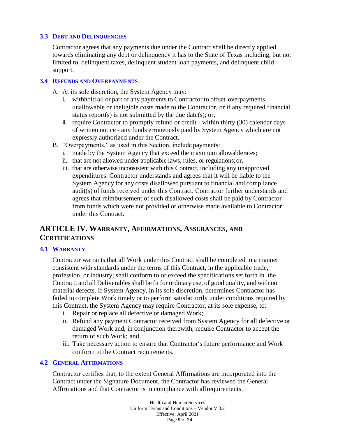### <span id="page-8-0"></span>**3.3 DEBT AND DELINQUENCIES**

Contractor agrees that any payments due under the Contract shall be directly applied towards eliminating any debt or delinquency it has to the State of Texas including, but not limited to, delinquent taxes, delinquent student loan payments, and delinquent child support.

#### <span id="page-8-1"></span>**3.4 REFUNDS AND OVERPAYMENTS**

- A. At its sole discretion, the System Agency may:
	- i. withhold all or part of any payments to Contractor to offset overpayments, unallowable or ineligible costs made to the Contractor, or if any required financial status report(s) is not submitted by the due date(s); or,
	- ii. require Contractor to promptly refund or credit within thirty (30) calendar days of written notice - any funds erroneously paid by System Agency which are not expressly authorized under the Contract.
- B. "Overpayments," as used in this Section, include payments:
	- i. made by the System Agency that exceed the maximum allowablerates;
	- ii. that are not allowed under applicable laws, rules, or regulations;or,
	- iii. that are otherwise inconsistent with this Contract, including any unapproved expenditures. Contractor understands and agrees that it will be liable to the System Agency for any costs disallowed pursuant to financial and compliance audit(s) of funds received under this Contract. Contractor further understands and agrees that reimbursement of such disallowed costs shall be paid by Contractor from funds which were not provided or otherwise made available to Contractor under this Contract.

# <span id="page-8-2"></span>**ARTICLE IV. WARRANTY, AFFIRMATIONS, ASSURANCES, AND CERTIFICATIONS**

#### <span id="page-8-3"></span>**4.1 WARRANTY**

Contractor warrants that all Work under this Contract shall be completed in a manner consistent with standards under the terms of this Contract, in the applicable trade, profession, or industry; shall conform to or exceed the specifications set forth in the Contract; and all Deliverables shall be fit for ordinary use, of good quality, and with no material defects. If System Agency, in its sole discretion, determines Contractor has failed to complete Work timely or to perform satisfactorily under conditions required by this Contract, the System Agency may require Contractor, at its sole expense, to:

- i. Repair or replace all defective or damaged Work;
- ii. Refund any payment Contractor received from System Agency for all defective or damaged Work and, in conjunction therewith, require Contractor to accept the return of such Work; and,
- iii. Take necessary action to ensure that Contractor's future performance and Work conform to the Contract requirements.

#### <span id="page-8-4"></span>**4.2 GENERAL AFFIRMATIONS**

Contractor certifies that, to the extent General Affirmations are incorporated into the Contract under the Signature Document, the Contractor has reviewed the General Affirmations and that Contractor is in compliance with allrequirements.

> Health and Human Services Uniform Terms and Conditions – Vendor V.3.2 Effective: April 2021 Page **9** of **24**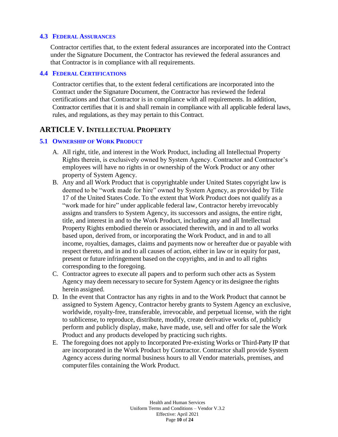### <span id="page-9-0"></span>**4.3 FEDERAL ASSURANCES**

Contractor certifies that, to the extent federal assurances are incorporated into the Contract under the Signature Document, the Contractor has reviewed the federal assurances and that Contractor is in compliance with all requirements.

#### <span id="page-9-1"></span>**4.4 FEDERAL CERTIFICATIONS**

Contractor certifies that, to the extent federal certifications are incorporated into the Contract under the Signature Document, the Contractor has reviewed the federal certifications and that Contractor is in compliance with all requirements. In addition, Contractor certifies that it is and shall remain in compliance with all applicable federal laws, rules, and regulations, as they may pertain to this Contract.

### <span id="page-9-2"></span>**ARTICLE V. INTELLECTUAL PROPERTY**

### <span id="page-9-3"></span>**5.1 OWNERSHIP OF WORK PRODUCT**

- A. All right, title, and interest in the Work Product, including all Intellectual Property Rights therein, is exclusively owned by System Agency. Contractor and Contractor's employees will have no rights in or ownership of the Work Product or any other property of System Agency.
- B. Any and all Work Product that is copyrightable under United States copyright law is deemed to be "work made for hire" owned by System Agency, as provided by Title 17 of the United States Code. To the extent that Work Product does not qualify as a "work made for hire" under applicable federal law, Contractor hereby irrevocably assigns and transfers to System Agency, its successors and assigns, the entire right, title, and interest in and to the Work Product, including any and all Intellectual Property Rights embodied therein or associated therewith, and in and to all works based upon, derived from, or incorporating the Work Product, and in and to all income, royalties, damages, claims and payments now or hereafter due or payable with respect thereto, and in and to all causes of action, either in law or in equity for past, present or future infringement based on the copyrights, and in and to all rights corresponding to the foregoing.
- C. Contractor agrees to execute all papers and to perform such other acts as System Agency may deem necessary to secure for System Agency or its designee the rights herein assigned.
- D. In the event that Contractor has any rights in and to the Work Product that cannot be assigned to System Agency, Contractor hereby grants to System Agency an exclusive, worldwide, royalty-free, transferable, irrevocable, and perpetual license, with the right to sublicense, to reproduce, distribute, modify, create derivative works of, publicly perform and publicly display, make, have made, use, sell and offer for sale the Work Product and any products developed by practicing such rights.
- E. The foregoing does not apply to Incorporated Pre-existing Works or Third-Party IP that are incorporated in the Work Product by Contractor. Contractor shall provide System Agency access during normal business hours to all Vendor materials, premises, and computerfiles containing the Work Product.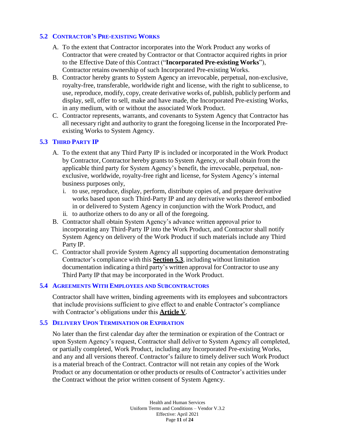### <span id="page-10-0"></span>**5.2 CONTRACTOR'S PRE-EXISTING WORKS**

- A. To the extent that Contractor incorporates into the Work Product any works of Contractor that were created by Contractor or that Contractor acquired rights in prior to the Effective Date of this Contract ("**Incorporated Pre-existing Works**"), Contractor retains ownership of such Incorporated Pre-existing Works.
- B. Contractor hereby grants to System Agency an irrevocable, perpetual, non-exclusive, royalty-free, transferable, worldwide right and license, with the right to sublicense, to use, reproduce, modify, copy, create derivative works of, publish, publicly perform and display, sell, offer to sell, make and have made, the Incorporated Pre-existing Works, in any medium, with or without the associated Work Product.
- C. Contractor represents, warrants, and covenants to System Agency that Contractor has all necessary right and authority to grant the foregoing license in the Incorporated Preexisting Works to System Agency.

### <span id="page-10-1"></span>**5.3 THIRD PARTY IP**

- A. To the extent that any Third Party IP is included or incorporated in the Work Product by Contractor, Contractor hereby grants to System Agency, orshall obtain from the applicable third party for System Agency's benefit, the irrevocable, perpetual, nonexclusive, worldwide, royalty-free right and license, for System Agency's internal business purposes only,
	- i. to use, reproduce, display, perform, distribute copies of, and prepare derivative works based upon such Third-Party IP and any derivative works thereof embodied in or delivered to System Agency in conjunction with the Work Product, and
	- ii. to authorize others to do any or all of the foregoing.
- B. Contractor shall obtain System Agency's advance written approval prior to incorporating any Third-Party IP into the Work Product, and Contractor shall notify System Agency on delivery of the Work Product if such materials include any Third Party IP.
- C. Contractor shall provide System Agency all supporting documentation demonstrating Contractor's compliance with this **Section 5.3**, including without limitation documentation indicating a third party's written approval for Contractor to use any Third Party IP that may be incorporated in the Work Product.

### <span id="page-10-2"></span>**5.4 AGREEMENTS WITH EMPLOYEES AND SUBCONTRACTORS**

Contractor shall have written, binding agreements with its employees and subcontractors that include provisions sufficient to give effect to and enable Contractor's compliance with Contractor's obligations under this **Article V**.

### <span id="page-10-3"></span>**5.5 DELIVERY UPON TERMINATION OR EXPIRATION**

No later than the first calendar day after the termination or expiration of the Contract or upon System Agency's request, Contractor shall deliver to System Agency all completed, or partially completed, Work Product, including any Incorporated Pre-existing Works, and any and all versions thereof. Contractor's failure to timely deliver such Work Product is a material breach of the Contract. Contractor will not retain any copies of the Work Product or any documentation or other products or results of Contractor's activities under the Contract without the prior written consent of System Agency.

> Health and Human Services Uniform Terms and Conditions – Vendor V.3.2 Effective: April 2021 Page **11** of **24**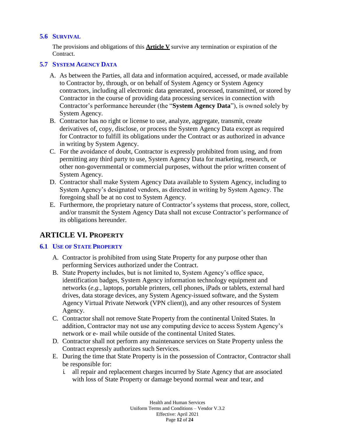### <span id="page-11-0"></span>**5.6 SURVIVAL**

The provisions and obligations of this **Article V** survive any termination or expiration of the Contract.

### <span id="page-11-1"></span>**5.7 SYSTEM AGENCY DATA**

- A. As between the Parties, all data and information acquired, accessed, or made available to Contractor by, through, or on behalf of System Agency or System Agency contractors, including all electronic data generated, processed, transmitted, or stored by Contractor in the course of providing data processing services in connection with Contractor's performance hereunder (the "**System Agency Data**"), is owned solely by System Agency.
- B. Contractor has no right or license to use, analyze, aggregate, transmit, create derivatives of, copy, disclose, or process the System Agency Data except as required for Contractor to fulfill its obligations under the Contract or as authorized in advance in writing by System Agency.
- C. For the avoidance of doubt, Contractor is expressly prohibited from using, and from permitting any third party to use, System Agency Data for marketing, research, or other non-governmental or commercial purposes, without the prior written consent of System Agency.
- D. Contractor shall make System Agency Data available to System Agency, including to System Agency's designated vendors, as directed in writing by System Agency. The foregoing shall be at no cost to System Agency.
- E. Furthermore, the proprietary nature of Contractor's systems that process, store, collect, and/or transmit the System Agency Data shall not excuse Contractor's performance of its obligations hereunder.

## <span id="page-11-2"></span>**ARTICLE VI. PROPERTY**

### <span id="page-11-3"></span>**6.1 USE OF STATE PROPERTY**

- A. Contractor is prohibited from using State Property for any purpose other than performing Services authorized under the Contract.
- B. State Property includes, but is not limited to, System Agency's office space, identification badges, System Agency information technology equipment and networks (*e.g.,* laptops, portable printers, cell phones, iPads or tablets, external hard drives, data storage devices, any System Agency-issued software, and the System Agency Virtual Private Network (VPN client)), and any other resources of System Agency.
- C. Contractor shall not remove State Property from the continental United States. In addition, Contractor may not use any computing device to access System Agency's network or e- mail while outside of the continental United States.
- D. Contractor shall not perform any maintenance services on State Property unless the Contract expressly authorizes such Services.
- E. During the time that State Property is in the possession of Contractor, Contractor shall be responsible for:
	- i. all repair and replacement charges incurred by State Agency that are associated with loss of State Property or damage beyond normal wear and tear, and

Health and Human Services Uniform Terms and Conditions – Vendor V.3.2 Effective: April 2021 Page **12** of **24**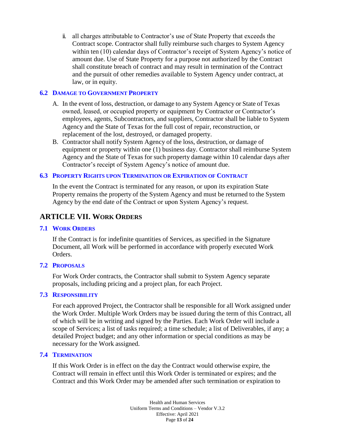ii. all charges attributable to Contractor's use of State Property that exceeds the Contract scope. Contractor shall fully reimburse such charges to System Agency within ten (10) calendar days of Contractor's receipt of System Agency's notice of amount due. Use of State Property for a purpose not authorized by the Contract shall constitute breach of contract and may result in termination of the Contract and the pursuit of other remedies available to System Agency under contract, at law, or in equity.

### <span id="page-12-0"></span>**6.2 DAMAGE TO GOVERNMENT PROPERTY**

- A. In the event of loss, destruction, or damage to any System Agency or State of Texas owned, leased, or occupied property or equipment by Contractor or Contractor's employees, agents, Subcontractors, and suppliers, Contractor shall be liable to System Agency and the State of Texas for the full cost of repair, reconstruction, or replacement of the lost, destroyed, or damaged property.
- B. Contractor shall notify System Agency of the loss, destruction, or damage of equipment or property within one (1) business day. Contractor shall reimburse System Agency and the State of Texas for such property damage within 10 calendar days after Contractor's receipt of System Agency's notice of amount due.

### <span id="page-12-1"></span>**6.3 PROPERTY RIGHTS UPON TERMINATION OR EXPIRATION OF CONTRACT**

In the event the Contract is terminated for any reason, or upon its expiration State Property remains the property of the System Agency and must be returned to the System Agency by the end date of the Contract or upon System Agency's request.

## <span id="page-12-2"></span>**ARTICLE VII. WORK ORDERS**

### <span id="page-12-3"></span>**7.1 WORK ORDERS**

If the Contract is for indefinite quantities of Services, as specified in the Signature Document, all Work will be performed in accordance with properly executed Work Orders.

### <span id="page-12-4"></span>**7.2 PROPOSALS**

For Work Order contracts, the Contractor shall submit to System Agency separate proposals, including pricing and a project plan, for each Project.

### <span id="page-12-5"></span>**7.3 RESPONSIBILITY**

For each approved Project, the Contractor shall be responsible for all Work assigned under the Work Order. Multiple Work Orders may be issued during the term of this Contract, all of which will be in writing and signed by the Parties. Each Work Order will include a scope of Services; a list of tasks required; a time schedule; a list of Deliverables, if any; a detailed Project budget; and any other information or special conditions as may be necessary for the Work assigned.

### <span id="page-12-6"></span>**7.4 TERMINATION**

If this Work Order is in effect on the day the Contract would otherwise expire, the Contract will remain in effect until this Work Order is terminated or expires; and the Contract and this Work Order may be amended after such termination or expiration to

> Health and Human Services Uniform Terms and Conditions – Vendor V.3.2 Effective: April 2021 Page **13** of **24**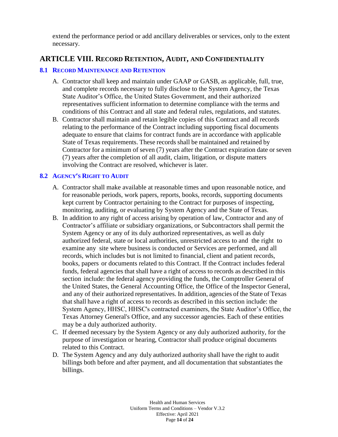extend the performance period or add ancillary deliverables or services, only to the extent necessary.

# <span id="page-13-0"></span>**ARTICLE VIII. RECORD RETENTION, AUDIT, AND CONFIDENTIALITY**

### <span id="page-13-1"></span>**8.1 RECORD MAINTENANCE AND RETENTION**

- A. Contractor shall keep and maintain under GAAP or GASB, as applicable, full, true, and complete records necessary to fully disclose to the System Agency, the Texas State Auditor's Office, the United States Government, and their authorized representatives sufficient information to determine compliance with the terms and conditions of this Contract and all state and federal rules, regulations, and statutes.
- B. Contractor shall maintain and retain legible copies of this Contract and all records relating to the performance of the Contract including supporting fiscal documents adequate to ensure that claims for contract funds are in accordance with applicable State of Texas requirements. These records shall be maintained and retained by Contractor for a minimum of seven (7) years after the Contract expiration date or seven (7) years after the completion of all audit, claim, litigation, or dispute matters involving the Contract are resolved, whichever is later.

### <span id="page-13-2"></span>**8.2 AGENCY'S RIGHT TO AUDIT**

- A. Contractor shall make available at reasonable times and upon reasonable notice, and for reasonable periods, work papers, reports, books, records, supporting documents kept current by Contractor pertaining to the Contract for purposes of inspecting, monitoring, auditing, or evaluating by System Agency and the State of Texas.
- B. In addition to any right of access arising by operation of law, Contractor and any of Contractor's affiliate or subsidiary organizations, or Subcontractors shall permit the System Agency or any of its duly authorized representatives, as well as duly authorized federal, state or local authorities, unrestricted access to and the right to examine any site where business is conducted or Services are performed, and all records, which includes but is not limited to financial, client and patient records, books, papers or documents related to this Contract. If the Contract includes federal funds, federal agencies that shall have a right of access to records as described in this section include: the federal agency providing the funds, the Comptroller General of the United States, the General Accounting Office, the Office of the Inspector General, and any of their authorized representatives. In addition, agencies of the State of Texas that shall have a right of access to records as described in this section include: the System Agency, HHSC, HHSC's contracted examiners, the State Auditor's Office, the Texas Attorney General's Office, and any successor agencies. Each of these entities may be a duly authorized authority.
- C. If deemed necessary by the System Agency or any duly authorized authority, for the purpose of investigation or hearing, Contractor shall produce original documents related to this Contract.
- D. The System Agency and any duly authorized authority shall have the right to audit billings both before and after payment, and all documentation that substantiates the billings.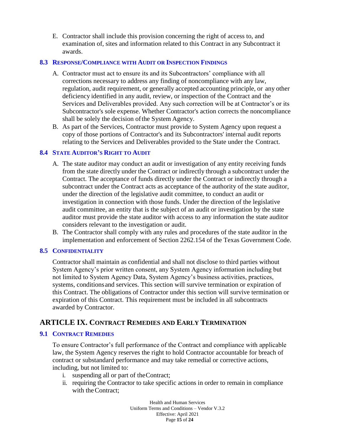E. Contractor shall include this provision concerning the right of access to, and examination of, sites and information related to this Contract in any Subcontract it awards.

### <span id="page-14-0"></span>**8.3 RESPONSE/COMPLIANCE WITH AUDIT OR INSPECTION FINDINGS**

- A. Contractor must act to ensure its and its Subcontractors' compliance with all corrections necessary to address any finding of noncompliance with any law, regulation, audit requirement, or generally accepted accounting principle, or any other deficiency identified in any audit, review, or inspection of the Contract and the Services and Deliverables provided. Any such correction will be at Contractor's or its Subcontractor's sole expense. Whether Contractor's action corrects the noncompliance shall be solely the decision of the System Agency.
- B. As part of the Services, Contractor must provide to System Agency upon request a copy of those portions of Contractor's and its Subcontractors' internal audit reports relating to the Services and Deliverables provided to the State under the Contract.

### <span id="page-14-1"></span>**8.4 STATE AUDITOR'S RIGHT TO AUDIT**

- A. The state auditor may conduct an audit or investigation of any entity receiving funds from the state directly under the Contract or indirectly through a subcontract under the Contract. The acceptance of funds directly under the Contract or indirectly through a subcontract under the Contract acts as acceptance of the authority of the state auditor, under the direction of the legislative audit committee, to conduct an audit or investigation in connection with those funds. Under the direction of the legislative audit committee, an entity that is the subject of an audit or investigation by the state auditor must provide the state auditor with access to any information the state auditor considers relevant to the investigation or audit.
- B. The Contractor shall comply with any rules and procedures of the state auditor in the implementation and enforcement of Section 2262.154 of the Texas Government Code.

### <span id="page-14-2"></span>**8.5 CONFIDENTIALITY**

Contractor shall maintain as confidential and shall not disclose to third parties without System Agency's prior written consent, any System Agency information including but not limited to System Agency Data, System Agency's business activities, practices, systems, conditionsand services. This section will survive termination or expiration of this Contract. The obligations of Contractor under this section will survive termination or expiration of this Contract. This requirement must be included in all subcontracts awarded by Contractor.

## <span id="page-14-3"></span>**ARTICLE IX. CONTRACT REMEDIES AND EARLY TERMINATION**

### <span id="page-14-4"></span>**9.1 CONTRACT REMEDIES**

To ensure Contractor's full performance of the Contract and compliance with applicable law, the System Agency reserves the right to hold Contractor accountable for breach of contract or substandard performance and may take remedial or corrective actions, including, but not limited to:

- i. suspending all or part of theContract;
- ii. requiring the Contractor to take specific actions in order to remain in compliance with the Contract:

Health and Human Services Uniform Terms and Conditions – Vendor V.3.2 Effective: April 2021 Page **15** of **24**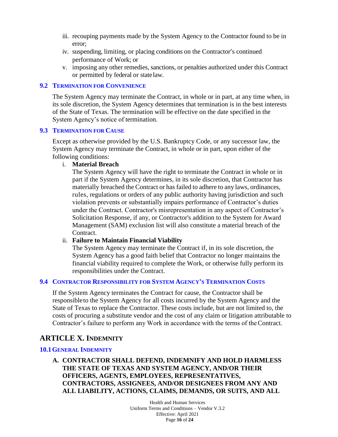- iii. recouping payments made by the System Agency to the Contractor found to be in error;
- iv. suspending, limiting, or placing conditions on the Contractor's continued performance of Work; or
- v. imposing any other remedies, sanctions, or penalties authorized under this Contract or permitted by federal or statelaw.

### <span id="page-15-0"></span>**9.2 TERMINATION FOR CONVENIENCE**

The System Agency may terminate the Contract, in whole or in part, at any time when, in its sole discretion, the System Agency determines that termination is in the best interests of the State of Texas. The termination will be effective on the date specified in the System Agency's notice of termination.

### <span id="page-15-1"></span>**9.3 TERMINATION FOR CAUSE**

Except as otherwise provided by the U.S. Bankruptcy Code, or any successor law, the System Agency may terminate the Contract, in whole or in part, upon either of the following conditions:

### i. **Material Breach**

The System Agency will have the right to terminate the Contract in whole or in part if the System Agency determines, in its sole discretion, that Contractor has materially breached the Contract or has failed to adhere to any laws, ordinances, rules, regulations or orders of any public authority having jurisdiction and such violation prevents or substantially impairs performance of Contractor's duties under the Contract. Contractor's misrepresentation in any aspect of Contractor's Solicitation Response, if any, or Contractor's addition to the System for Award Management (SAM) exclusion list will also constitute a material breach of the Contract.

### ii. **Failure to Maintain Financial Viability**

The System Agency may terminate the Contract if, in its sole discretion, the System Agency has a good faith belief that Contractor no longer maintains the financial viability required to complete the Work, or otherwise fully perform its responsibilities under the Contract.

### <span id="page-15-2"></span>**9.4 CONTRACTOR RESPONSIBILITY FOR SYSTEM AGENCY'S TERMINATION COSTS**

If the System Agency terminates the Contract for cause, the Contractor shall be responsibleto the System Agency for all costs incurred by the System Agency and the State of Texas to replace the Contractor. These costs include, but are not limited to, the costs of procuring a substitute vendor and the cost of any claim or litigation attributable to Contractor's failure to perform any Work in accordance with the terms of theContract.

# <span id="page-15-3"></span>**ARTICLE X. INDEMNITY**

### <span id="page-15-4"></span>**10.1GENERAL INDEMNITY**

**A. CONTRACTOR SHALL DEFEND, INDEMNIFY AND HOLD HARMLESS THE STATE OF TEXAS AND SYSTEM AGENCY, AND/OR THEIR OFFICERS, AGENTS, EMPLOYEES, REPRESENTATIVES, CONTRACTORS, ASSIGNEES, AND/OR DESIGNEES FROM ANY AND ALL LIABILITY, ACTIONS, CLAIMS, DEMANDS, OR SUITS, AND ALL** 

> Health and Human Services Uniform Terms and Conditions – Vendor V.3.2 Effective: April 2021 Page **16** of **24**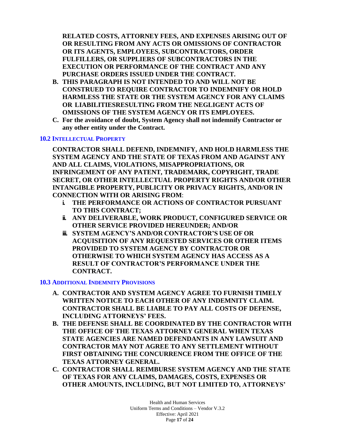**RELATED COSTS, ATTORNEY FEES, AND EXPENSES ARISING OUT OF OR RESULTING FROM ANY ACTS OR OMISSIONS OF CONTRACTOR OR ITS AGENTS, EMPLOYEES, SUBCONTRACTORS, ORDER FULFILLERS, OR SUPPLIERS OF SUBCONTRACTORS IN THE EXECUTION OR PERFORMANCE OF THE CONTRACT AND ANY PURCHASE ORDERS ISSUED UNDER THE CONTRACT.**

- **B. THIS PARAGRAPH IS NOT INTENDED TO AND WILL NOT BE CONSTRUED TO REQUIRE CONTRACTOR TO INDEMNIFY OR HOLD HARMLESS THE STATE OR THE SYSTEM AGENCY FOR ANY CLAIMS OR LIABILITIESRESULTING FROM THE NEGLIGENT ACTS OF OMISSIONS OF THE SYSTEM AGENCY OR ITS EMPLOYEES.**
- **C. For the avoidance of doubt, System Agency shall not indemnify Contractor or any other entity under the Contract.**

### <span id="page-16-0"></span>**10.2 INTELLECTUAL PROPERTY**

**CONTRACTOR SHALL DEFEND, INDEMNIFY, AND HOLD HARMLESS THE SYSTEM AGENCY AND THE STATE OF TEXAS FROM AND AGAINST ANY AND ALL CLAIMS, VIOLATIONS, MISAPPROPRIATIONS, OR INFRINGEMENT OF ANY PATENT, TRADEMARK, COPYRIGHT, TRADE SECRET, OR OTHER INTELLECTUAL PROPERTY RIGHTS AND/OR OTHER INTANGIBLE PROPERTY, PUBLICITY OR PRIVACY RIGHTS, AND/OR IN CONNECTION WITH OR ARISING FROM**:

- **i. THE PERFORMANCE OR ACTIONS OF CONTRACTOR PURSUANT TO THIS CONTRACT;**
- **ii. ANY DELIVERABLE, WORK PRODUCT, CONFIGURED SERVICE OR OTHER SERVICE PROVIDED HEREUNDER; AND/OR**
- **iii. SYSTEM AGENCY'S AND/OR CONTRACTOR'S USE OF OR ACQUISITION OF ANY REQUESTED SERVICES OR OTHER ITEMS PROVIDED TO SYSTEM AGENCY BY CONTRACTOR OR OTHERWISE TO WHICH SYSTEM AGENCY HAS ACCESS AS A RESULT OF CONTRACTOR'S PERFORMANCE UNDER THE CONTRACT.**

### <span id="page-16-1"></span>**10.3 ADDITIONAL INDEMNITY PROVISIONS**

- **A. CONTRACTOR AND SYSTEM AGENCY AGREE TO FURNISH TIMELY WRITTEN NOTICE TO EACH OTHER OF ANY INDEMNITY CLAIM. CONTRACTOR SHALL BE LIABLE TO PAY ALL COSTS OF DEFENSE, INCLUDING ATTORNEYS' FEES.**
- **B. THE DEFENSE SHALL BE COORDINATED BY THE CONTRACTOR WITH THE OFFICE OF THE TEXAS ATTORNEY GENERAL WHEN TEXAS STATE AGENCIES ARE NAMED DEFENDANTS IN ANY LAWSUIT AND CONTRACTOR MAY NOT AGREE TO ANY SETTLEMENT WITHOUT FIRST OBTAINING THE CONCURRENCE FROM THE OFFICE OF THE TEXAS ATTORNEY GENERAL.**
- **C. CONTRACTOR SHALL REIMBURSE SYSTEM AGENCY AND THE STATE OF TEXAS FOR ANY CLAIMS, DAMAGES, COSTS, EXPENSES OR OTHER AMOUNTS, INCLUDING, BUT NOT LIMITED TO, ATTORNEYS'**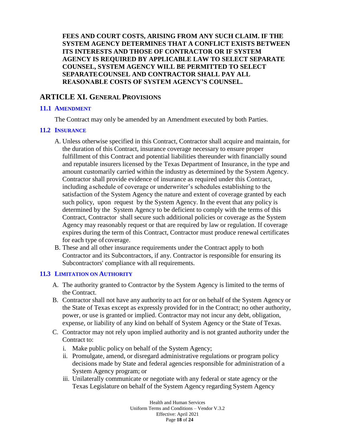**FEES AND COURT COSTS, ARISING FROM ANY SUCH CLAIM. IF THE SYSTEM AGENCY DETERMINES THAT A CONFLICT EXISTS BETWEEN ITS INTERESTS AND THOSE OF CONTRACTOR OR IF SYSTEM AGENCY IS REQUIRED BY APPLICABLE LAW TO SELECT SEPARATE COUNSEL, SYSTEM AGENCY WILL BE PERMITTED TO SELECT SEPARATECOUNSEL AND CONTRACTOR SHALL PAY ALL REASONABLE COSTS OF SYSTEM AGENCY'S COUNSEL.**

### <span id="page-17-0"></span>**ARTICLE XI. GENERAL PROVISIONS**

### <span id="page-17-1"></span>**11.1 AMENDMENT**

The Contract may only be amended by an Amendment executed by both Parties.

### <span id="page-17-2"></span>**11.2 INSURANCE**

- A. Unless otherwise specified in this Contract, Contractor shall acquire and maintain, for the duration of this Contract, insurance coverage necessary to ensure proper fulfillment of this Contract and potential liabilities thereunder with financially sound and reputable insurers licensed by the Texas Department of Insurance, in the type and amount customarily carried within the industry as determined by the System Agency. Contractor shall provide evidence of insurance as required under this Contract, including aschedule of coverage or underwriter's schedules establishing to the satisfaction of the System Agency the nature and extent of coverage granted by each such policy, upon request by the System Agency. In the event that any policy is determined by the System Agency to be deficient to comply with the terms of this Contract, Contractor shall secure such additional policies or coverage as the System Agency may reasonably request or that are required by law or regulation. If coverage expires during the term of this Contract, Contractor must produce renewal certificates for each type of coverage.
- B. These and all other insurance requirements under the Contract apply to both Contractor and its Subcontractors, if any. Contractor is responsible for ensuring its Subcontractors' compliance with all requirements.

### <span id="page-17-3"></span>**11.3 LIMITATION ON AUTHORITY**

- A. The authority granted to Contractor by the System Agency is limited to the terms of the Contract.
- B. Contractor shall not have any authority to act for or on behalf of the System Agency or the State of Texas except as expressly provided for in the Contract; no other authority, power, or use is granted or implied. Contractor may not incur any debt, obligation, expense, or liability of any kind on behalf of System Agency or the State of Texas.
- C. Contractor may not rely upon implied authority and is not granted authority under the Contract to:
	- i. Make public policy on behalf of the System Agency;
	- ii. Promulgate, amend, or disregard administrative regulations or program policy decisions made by State and federal agencies responsible for administration of a System Agency program; or
	- iii. Unilaterally communicate or negotiate with any federal or state agency or the Texas Legislature on behalf of the System Agency regarding System Agency

Health and Human Services Uniform Terms and Conditions – Vendor V.3.2 Effective: April 2021 Page **18** of **24**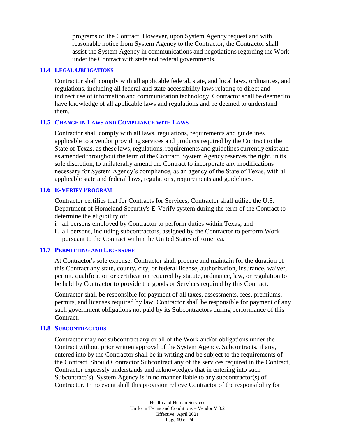programs or the Contract. However, upon System Agency request and with reasonable notice from System Agency to the Contractor, the Contractor shall assist the System Agency in communications and negotiations regarding the Work under the Contract with state and federal governments.

#### <span id="page-18-0"></span>**11.4 LEGAL OBLIGATIONS**

Contractor shall comply with all applicable federal, state, and local laws, ordinances, and regulations, including all federal and state accessibility laws relating to direct and indirect use of information and communication technology. Contractor shall be deemed to have knowledge of all applicable laws and regulations and be deemed to understand them.

#### <span id="page-18-1"></span>**11.5 CHANGE IN LAWS AND COMPLIANCE WITH LAWS**

Contractor shall comply with all laws, regulations, requirements and guidelines applicable to a vendor providing services and products required by the Contract to the State of Texas, as these laws, regulations, requirements and guidelines currently exist and as amended throughout the term of the Contract. System Agency reserves the right, in its sole discretion, to unilaterally amend the Contract to incorporate any modifications necessary for System Agency's compliance, as an agency of the State of Texas, with all applicable state and federal laws, regulations, requirements and guidelines.

#### <span id="page-18-2"></span>**11.6 E-VERIFY PROGRAM**

Contractor certifies that for Contracts for Services, Contractor shall utilize the U.S. Department of Homeland Security's E-Verify system during the term of the Contract to determine the eligibility of:

- i. all persons employed by Contractor to perform duties within Texas; and
- ii. all persons, including subcontractors, assigned by the Contractor to perform Work pursuant to the Contract within the United States of America.

#### <span id="page-18-3"></span>**11.7 PERMITTING AND LICENSURE**

At Contractor's sole expense, Contractor shall procure and maintain for the duration of this Contract any state, county, city, or federal license, authorization, insurance, waiver, permit, qualification or certification required by statute, ordinance, law, or regulation to be held by Contractor to provide the goods or Services required by this Contract.

Contractor shall be responsible for payment of all taxes, assessments, fees, premiums, permits, and licenses required by law. Contractor shall be responsible for payment of any such government obligations not paid by its Subcontractors during performance of this Contract.

#### <span id="page-18-4"></span>**11.8 SUBCONTRACTORS**

Contractor may not subcontract any or all of the Work and/or obligations under the Contract without prior written approval of the System Agency. Subcontracts, if any, entered into by the Contractor shall be in writing and be subject to the requirements of the Contract. Should Contractor Subcontract any of the services required in the Contract, Contractor expressly understands and acknowledges that in entering into such Subcontract(s), System Agency is in no manner liable to any subcontractor(s) of Contractor. In no event shall this provision relieve Contractor of the responsibility for

> Health and Human Services Uniform Terms and Conditions – Vendor V.3.2 Effective: April 2021 Page **19** of **24**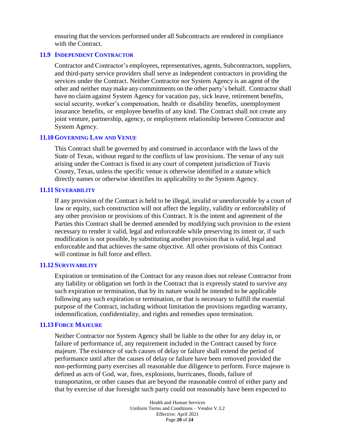ensuring that the services performed under all Subcontracts are rendered in compliance with the Contract.

#### <span id="page-19-0"></span>**11.9 INDEPENDENT CONTRACTOR**

Contractor and Contractor's employees, representatives, agents, Subcontractors, suppliers, and third-party service providers shall serve as independent contractors in providing the services under the Contract. Neither Contractor nor System Agency is an agent of the other and neither maymake any commitments on the other party's behalf. Contractorshall have no claim against System Agency for vacation pay, sick leave, retirement benefits, social security, worker's compensation, health or disability benefits, unemployment insurance benefits, or employee benefits of any kind. The Contract shall not create any joint venture, partnership, agency, or employment relationship between Contractor and System Agency.

#### <span id="page-19-1"></span>**11.10 GOVERNING LAW AND VENUE**

This Contract shall be governed by and construed in accordance with the laws of the State of Texas, without regard to the conflicts of law provisions. The venue of any suit arising under the Contract is fixed in any court of competent jurisdiction of Travis County, Texas, unless the specific venue is otherwise identified in a statute which directly names or otherwise identifies its applicability to the System Agency.

#### <span id="page-19-2"></span>**11.11 SEVERABILITY**

If any provision of the Contract is held to be illegal, invalid or unenforceable by a court of law or equity, such construction will not affect the legality, validity or enforceability of any other provision or provisions of this Contract. It is the intent and agreement of the Parties this Contract shall be deemed amended by modifying such provision to the extent necessary to render it valid, legal and enforceable while preserving its intent or, if such modification is not possible, by substituting another provision that is valid, legal and enforceable and that achieves the same objective. All other provisions of this Contract will continue in full force and effect.

#### <span id="page-19-3"></span>**11.12 SURVIVABILITY**

Expiration or termination of the Contract for any reason does not release Contractor from any liability or obligation set forth in the Contract that is expressly stated to survive any such expiration or termination, that by its nature would be intended to be applicable following any such expiration or termination, or that is necessary to fulfill the essential purpose of the Contract, including without limitation the provisions regarding warranty, indemnification, confidentiality, and rights and remedies upon termination.

#### <span id="page-19-4"></span>**11.13 FORCE MAJEURE**

Neither Contractor nor System Agency shall be liable to the other for any delay in, or failure of performance of, any requirement included in the Contract caused by force majeure. The existence of such causes of delay or failure shall extend the period of performance until after the causes of delay or failure have been removed provided the non-performing party exercises all reasonable due diligence to perform. Force majeure is defined as acts of God, war, fires, explosions, hurricanes, floods, failure of transportation, or other causes that are beyond the reasonable control of either party and that by exercise of due foresight such party could not reasonably have been expected to

> Health and Human Services Uniform Terms and Conditions – Vendor V.3.2 Effective: April 2021 Page **20** of **24**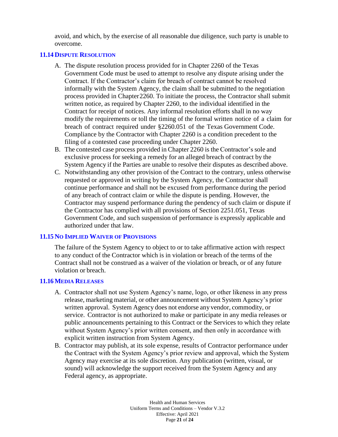avoid, and which, by the exercise of all reasonable due diligence, such party is unable to overcome.

### <span id="page-20-0"></span>**11.14 DISPUTE RESOLUTION**

- A. The dispute resolution process provided for in Chapter 2260 of the Texas Government Code must be used to attempt to resolve any dispute arising under the Contract. If the Contractor's claim for breach of contract cannot be resolved informally with the System Agency, the claim shall be submitted to the negotiation process provided in Chapter2260. To initiate the process, the Contractor shall submit written notice, as required by Chapter 2260, to the individual identified in the Contract for receipt of notices. Any informal resolution efforts shall in no way modify the requirements or toll the timing of the formal written notice of a claim for breach of contract required under §2260.051 of the Texas Government Code. Compliance by the Contractor with Chapter 2260 is a condition precedent to the filing of a contested case proceeding under Chapter 2260.
- B. The contested case process provided in Chapter 2260 is the Contractor's sole and exclusive process for seeking a remedy for an alleged breach of contract by the System Agency if the Parties are unable to resolve their disputes as described above.
- C. Notwithstanding any other provision of the Contract to the contrary, unless otherwise requested or approved in writing by the System Agency, the Contractor shall continue performance and shall not be excused from performance during the period of any breach of contract claim or while the dispute is pending. However, the Contractor may suspend performance during the pendency of such claim or dispute if the Contractor has complied with all provisions of Section 2251.051, Texas Government Code, and such suspension of performance is expressly applicable and authorized under that law.

### <span id="page-20-1"></span>**11.15 NO IMPLIED WAIVER OF PROVISIONS**

The failure of the System Agency to object to or to take affirmative action with respect to any conduct of the Contractor which is in violation or breach of the terms of the Contract shall not be construed as a waiver of the violation or breach, or of any future violation or breach.

### <span id="page-20-2"></span>**11.16 MEDIA RELEASES**

- A. Contractor shall not use System Agency's name, logo, or other likeness in any press release, marketing material, or other announcement without System Agency's prior written approval. System Agency does not endorse any vendor, commodity, or service. Contractor is not authorized to make or participate in any media releases or public announcements pertaining to this Contract or the Services to which they relate without System Agency's prior written consent, and then only in accordance with explicit written instruction from System Agency.
- B. Contractor may publish, at its sole expense, results of Contractor performance under the Contract with the System Agency's prior review and approval, which the System Agency may exercise at its sole discretion. Any publication (written, visual, or sound) will acknowledge the support received from the System Agency and any Federal agency, as appropriate.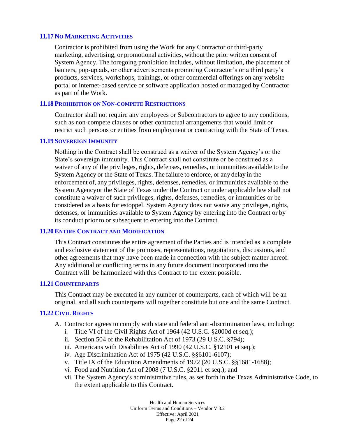### <span id="page-21-0"></span>**11.17 NO MARKETING ACTIVITIES**

Contractor is prohibited from using the Work for any Contractor or third-party marketing, advertising, or promotional activities, without the prior written consent of System Agency. The foregoing prohibition includes, without limitation, the placement of banners, pop-up ads, or other advertisements promoting Contractor's or a third party's products, services, workshops, trainings, or other commercial offerings on any website portal or internet-based service or software application hosted or managed by Contractor as part of the Work.

#### <span id="page-21-1"></span>**11.18 PROHIBITION ON NON-COMPETE RESTRICTIONS**

Contractor shall not require any employees or Subcontractors to agree to any conditions, such as non-compete clauses or other contractual arrangements that would limit or restrict such persons or entities from employment or contracting with the State of Texas.

#### <span id="page-21-2"></span>**11.19 SOVEREIGN IMMUNITY**

Nothing in the Contract shall be construed as a waiver of the System Agency's or the State's sovereign immunity. This Contract shall not constitute or be construed as a waiver of any of the privileges, rights, defenses, remedies, or immunities available to the System Agency or the State of Texas. The failure to enforce, or any delay in the enforcement of, any privileges, rights, defenses, remedies, or immunities available to the System Agencyor the State of Texas under the Contract or under applicable law shall not constitute a waiver of such privileges, rights, defenses, remedies, or immunities or be considered as a basis for estoppel. System Agency does not waive any privileges, rights, defenses, or immunities available to System Agency by entering into the Contract or by its conduct prior to or subsequent to entering into the Contract.

#### <span id="page-21-3"></span>**11.20ENTIRE CONTRACT AND MODIFICATION**

This Contract constitutes the entire agreement of the Parties and is intended as a complete and exclusive statement of the promises, representations, negotiations, discussions, and other agreements that may have been made in connection with the subject matter hereof. Any additional or conflicting terms in any future document incorporated into the Contract will be harmonized with this Contract to the extent possible.

#### <span id="page-21-4"></span>**11.21 COUNTERPARTS**

This Contract may be executed in any number of counterparts, each of which will be an original, and all such counterparts will together constitute but one and the same Contract.

#### <span id="page-21-5"></span>**11.22 CIVIL RIGHTS**

- A. Contractor agrees to comply with state and federal anti-discrimination laws, including:
	- i. Title VI of the Civil Rights Act of 1964 (42 U.S.C. §2000d et seq.);
	- ii. Section 504 of the Rehabilitation Act of 1973 (29 U.S.C. §794);
	- iii. Americans with Disabilities Act of 1990 (42 U.S.C. §12101 et seq.);
	- iv. Age Discrimination Act of 1975 (42 U.S.C. §§6101-6107);
	- v. Title IX of the Education Amendments of 1972 (20 U.S.C. §§1681-1688);
	- vi. Food and Nutrition Act of 2008 (7 U.S.C. §2011 et seq.); and
	- vii. The System Agency's administrative rules, as set forth in the Texas Administrative Code, to the extent applicable to this Contract.

Health and Human Services Uniform Terms and Conditions – Vendor V.3.2 Effective: April 2021 Page **22** of **24**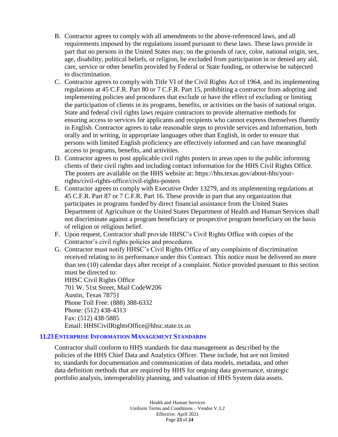- B. Contractor agrees to comply with all amendments to the above-referenced laws, and all requirements imposed by the regulations issued pursuant to these laws. These laws provide in part that no persons in the United States may, on the grounds of race, color, national origin, sex, age, disability, political beliefs, or religion, be excluded from participation in or denied any aid, care, service or other benefits provided by Federal or State funding, or otherwise be subjected to discrimination.
- C. Contractor agrees to comply with Title VI of the Civil Rights Act of 1964, and its implementing regulations at 45 C.F.R. Part 80 or 7 C.F.R. Part 15, prohibiting a contractor from adopting and implementing policies and procedures that exclude or have the effect of excluding or limiting the participation of clients in its programs, benefits, or activities on the basis of national origin. State and federal civil rights laws require contractors to provide alternative methods for ensuring access to services for applicants and recipients who cannot express themselves fluently in English. Contractor agrees to take reasonable steps to provide services and information, both orally and in writing, in appropriate languages other than English, in order to ensure that persons with limited English proficiency are effectively informed and can have meaningful access to programs, benefits, and activities.
- D. Contractor agrees to post applicable civil rights posters in areas open to the public informing clients of their civil rights and including contact information for the HHS Civil Rights Office. The posters are available on the HHS website at: https://hhs.texas.gov/about-hhs/yourrights/civil-rights-office/civil-rights-posters
- E. Contractor agrees to comply with Executive Order 13279, and its implementing regulations at 45 C.F.R. Part 87 or 7 C.F.R. Part 16. These provide in part that any organization that participates in programs funded by direct financial assistance from the United States Department of Agriculture or the United States Department of Health and Human Services shall not discriminate against a program beneficiary or prospective program beneficiary on the basis of religion or religious belief.
- F. Upon request, Contractor shall provide HHSC's Civil Rights Office with copies of the Contractor's civil rights policies and procedures.
- G. Contractor must notify HHSC's Civil Rights Office of any complaints of discrimination received relating to its performance under this Contract. This notice must be delivered no more than ten (10) calendar days after receipt of a complaint. Notice provided pursuant to this section must be directed to:

HHSC Civil Rights Office 701 W. 51st Street, Mail CodeW206 Austin, Texas 78751 Phone Toll Free: (888) 388-6332 Phone: (512) 438-4313 Fax: (512) 438-5885 Email: HHSCivilRightsOffice@hhsc.state.tx.us

### <span id="page-22-0"></span>**11.23ENTERPRISE INFORMATION MANAGEMENT STANDARDS**

Contractor shall conform to HHS standards for data management as described by the policies of the HHS Chief Data and Analytics Officer. These include, but are not limited to, standards for documentation and communication of data models, metadata, and other data definition methods that are required by HHS for ongoing data governance, strategic portfolio analysis, interoperability planning, and valuation of HHS System data assets.

> Health and Human Services Uniform Terms and Conditions – Vendor V.3.2 Effective: April 2021 Page **23** of **24**